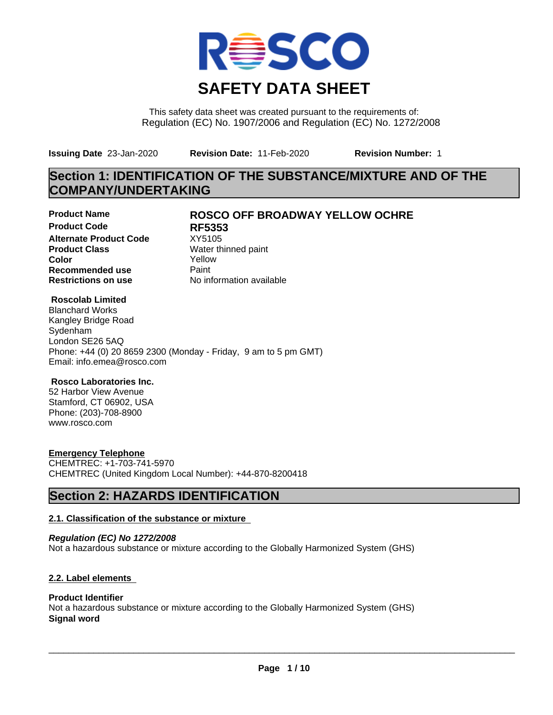

This safety data sheet was created pursuant to the requirements of: Regulation (EC) No. 1907/2006 and Regulation (EC) No. 1272/2008

**Issuing Date** 23-Jan-2020 **Revision Date:** 11-Feb-2020 **Revision Number:** 1

# **Section 1: IDENTIFICATION OF THE SUBSTANCE/MIXTURE AND OF THE COMPANY/UNDERTAKING**

**Product Code RF5353 Alternate Product Code** XY5105<br> **Product Class** Water th **Color** Yellow **Recommended use** Paint<br> **Restrictions on use** Mo information available **Restrictions on use** 

### **Product Name ROSCO OFF BROADWAY YELLOW OCHRE**

**Water thinned paint** 

#### **Roscolab Limited**

Blanchard Works Kangley Bridge Road Sydenham London SE26 5AQ Phone: +44 (0) 20 8659 2300 (Monday - Friday, 9 am to 5 pm GMT) Email: info.emea@rosco.com

#### **Rosco Laboratories Inc.**

52 Harbor View Avenue Stamford, CT 06902, USA Phone: (203)-708-8900 www.rosco.com

#### **Emergency Telephone**

CHEMTREC: +1-703-741-5970 CHEMTREC (United Kingdom Local Number): +44-870-8200418

### **Section 2: HAZARDS IDENTIFICATION**

#### **2.1. Classification of the substance or mixture**

*Regulation (EC) No 1272/2008* Not a hazardous substance or mixture according to the Globally Harmonized System (GHS)

#### **2.2. Label elements**

#### **Product Identifier**

Not a hazardous substance or mixture according to the Globally Harmonized System (GHS) **Signal word**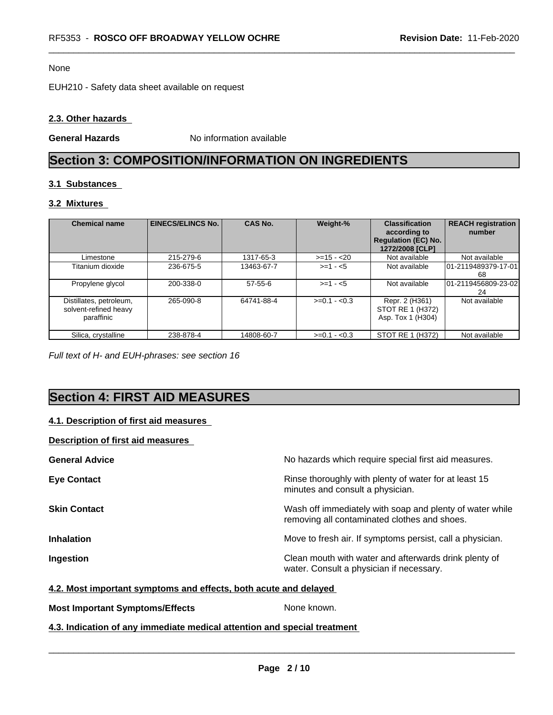#### None

EUH210 - Safety data sheet available on request

#### **2.3. Other hazards**

**General Hazards** No information available

## **Section 3: COMPOSITION/INFORMATION ON INGREDIENTS**

#### **3.1 Substances**

#### **3.2 Mixtures**

| <b>Chemical name</b>                                           | <b>EINECS/ELINCS No.</b> | <b>CAS No.</b> | Weight-%      | <b>Classification</b><br>according to<br><b>Regulation (EC) No.</b><br>1272/2008 [CLP] | <b>REACH registration</b><br>number |
|----------------------------------------------------------------|--------------------------|----------------|---------------|----------------------------------------------------------------------------------------|-------------------------------------|
| Limestone                                                      | 215-279-6                | 1317-65-3      | $>=15 - 20$   | Not available                                                                          | Not available                       |
| Titanium dioxide                                               | 236-675-5                | 13463-67-7     | $>= 1 - 5$    | Not available                                                                          | 101-2119489379-17-01<br>68          |
| Propylene glycol                                               | 200-338-0                | $57-55-6$      | $>=1 - 5$     | Not available                                                                          | 01-2119456809-23-02<br>24           |
| Distillates, petroleum,<br>solvent-refined heavy<br>paraffinic | 265-090-8                | 64741-88-4     | $>=0.1 - 0.3$ | Repr. 2 (H361)<br>STOT RE 1 (H372)<br>Asp. Tox 1 (H304)                                | Not available                       |
| Silica, crystalline                                            | 238-878-4                | 14808-60-7     | $>=0.1 - 0.3$ | STOT RE 1 (H372)                                                                       | Not available                       |

*Full text of H- and EUH-phrases: see section 16*

# **Section 4: FIRST AID MEASURES**

#### **4.1. Description of first aid measures**

#### **Description of first aid measures**

| <b>General Advice</b> | No hazards which require special first aid measures.                                                     |
|-----------------------|----------------------------------------------------------------------------------------------------------|
| <b>Eye Contact</b>    | Rinse thoroughly with plenty of water for at least 15<br>minutes and consult a physician.                |
| <b>Skin Contact</b>   | Wash off immediately with soap and plenty of water while<br>removing all contaminated clothes and shoes. |
| <b>Inhalation</b>     | Move to fresh air. If symptoms persist, call a physician.                                                |
| Ingestion             | Clean mouth with water and afterwards drink plenty of<br>water. Consult a physician if necessary.        |

#### **4.2. Most important symptoms and effects, both acute and delayed**

**Most Important Symptoms/Effects** None known.

**4.3. Indication of any immediate medical attention and special treatment**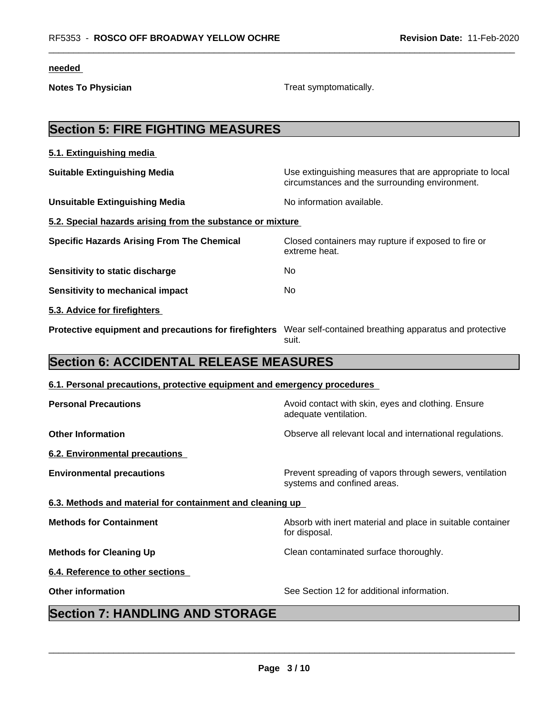**needed** 

**Notes To Physician Treat symptomatically.** 

| <b>Section 5: FIRE FIGHTING MEASURES</b>                                 |                                                                                                            |
|--------------------------------------------------------------------------|------------------------------------------------------------------------------------------------------------|
| 5.1. Extinguishing media                                                 |                                                                                                            |
| <b>Suitable Extinguishing Media</b>                                      | Use extinguishing measures that are appropriate to local<br>circumstances and the surrounding environment. |
| <b>Unsuitable Extinguishing Media</b>                                    | No information available.                                                                                  |
| 5.2. Special hazards arising from the substance or mixture               |                                                                                                            |
| <b>Specific Hazards Arising From The Chemical</b>                        | Closed containers may rupture if exposed to fire or<br>extreme heat.                                       |
| Sensitivity to static discharge                                          | No                                                                                                         |
| <b>Sensitivity to mechanical impact</b>                                  | No                                                                                                         |
| 5.3. Advice for firefighters                                             |                                                                                                            |
| Protective equipment and precautions for firefighters                    | Wear self-contained breathing apparatus and protective<br>suit.                                            |
| <b>Section 6: ACCIDENTAL RELEASE MEASURES</b>                            |                                                                                                            |
| 6.1. Personal precautions, protective equipment and emergency procedures |                                                                                                            |
| <b>Personal Precautions</b>                                              | Avoid contact with skin, eyes and clothing. Ensure<br>adequate ventilation.                                |
| <b>Other Information</b>                                                 | Observe all relevant local and international regulations.                                                  |

**6.2. Environmental precautions**

**Environmental precautions Environmental precautions** Prevent spreading of vapors through sewers, ventilation

**6.3. Methods and material for containment and cleaning up**

**Methods for Containment Methods for Containment Absorb** with inert material and place in suitable container

for disposal. **Methods for Cleaning Up** Clean contaminated surface thoroughly.

**6.4. Reference to other sections**

**Other information** See Section 12 for additional information.

systems and confined areas.

 $\overline{\phantom{a}}$  ,  $\overline{\phantom{a}}$  ,  $\overline{\phantom{a}}$  ,  $\overline{\phantom{a}}$  ,  $\overline{\phantom{a}}$  ,  $\overline{\phantom{a}}$  ,  $\overline{\phantom{a}}$  ,  $\overline{\phantom{a}}$  ,  $\overline{\phantom{a}}$  ,  $\overline{\phantom{a}}$  ,  $\overline{\phantom{a}}$  ,  $\overline{\phantom{a}}$  ,  $\overline{\phantom{a}}$  ,  $\overline{\phantom{a}}$  ,  $\overline{\phantom{a}}$  ,  $\overline{\phantom{a}}$ 

# **Section 7: HANDLING AND STORAGE**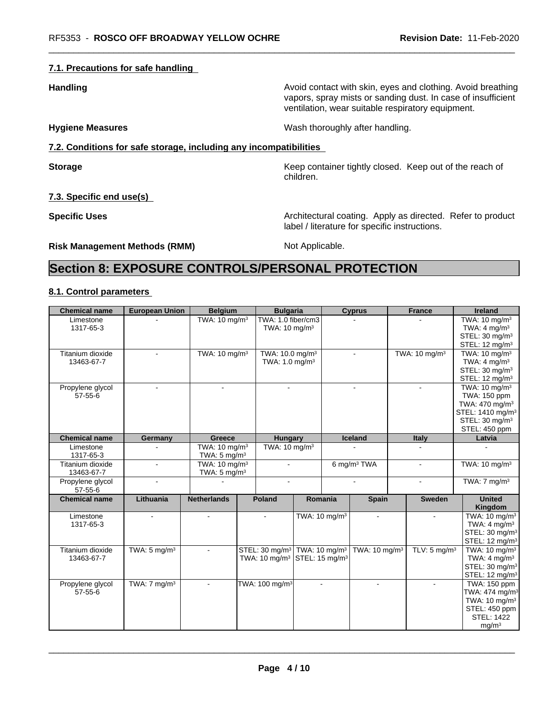#### **7.1. Precautions for safe handling**

**Handling Handling Avoid contact with skin, eyes and clothing. Avoid breathing** vapors, spray mists or sanding dust. In case of insufficient ventilation, wear suitable respiratory equipment.

**Hygiene Measures** Mash thoroughly after handling.

#### **7.2. Conditions for safe storage, including any incompatibilities**

**Storage Keep container tightly closed. Keep out of the reach of Keep** container tightly closed. Keep out of the reach of children.

**7.3. Specific end use(s)**

**Specific Uses Architectural coating. Apply as directed. Refer to product Specific Uses** label / literature for specific instructions.

**Risk Management Methods (RMM)** Not Applicable.

# **Section 8: EXPOSURE CONTROLS/PERSONAL PROTECTION**

#### **8.1. Control parameters**

| <b>Chemical name</b>   | <b>European Union</b>   | <b>Belgium</b>            | <b>Bulgaria</b>                                      |         |                          | <b>Cyprus</b>            | <b>France</b>             | <b>Ireland</b>                                                                     |
|------------------------|-------------------------|---------------------------|------------------------------------------------------|---------|--------------------------|--------------------------|---------------------------|------------------------------------------------------------------------------------|
| Limestone<br>1317-65-3 |                         | TWA: 10 mg/m <sup>3</sup> | TWA: 1.0 fiber/cm3<br>TWA: 10 mg/m <sup>3</sup>      |         |                          |                          |                           | TWA: 10 mg/m <sup>3</sup><br>TWA: $4 \text{ mg/m}^3$<br>STEL: 30 mg/m <sup>3</sup> |
|                        |                         |                           |                                                      |         |                          |                          |                           | STEL: 12 mg/m <sup>3</sup>                                                         |
| Titanium dioxide       | $\sim$                  | TWA: 10 mg/m <sup>3</sup> | TWA: 10.0 mg/m <sup>3</sup>                          |         |                          | $\sim$                   | TWA: 10 mg/m <sup>3</sup> | TWA: 10 mg/m <sup>3</sup>                                                          |
| 13463-67-7             |                         |                           | TWA: 1.0 mg/m <sup>3</sup>                           |         |                          |                          |                           | TWA: $4 \text{ mg/m}^3$                                                            |
|                        |                         |                           |                                                      |         |                          |                          |                           | STEL: 30 mg/m <sup>3</sup>                                                         |
|                        |                         |                           |                                                      |         |                          |                          |                           | STEL: 12 mg/m <sup>3</sup>                                                         |
| Propylene glycol       | $\sim$                  | $\sim$                    | $\overline{a}$                                       |         |                          |                          |                           | TWA: 10 mg/m <sup>3</sup>                                                          |
| $57 - 55 - 6$          |                         |                           |                                                      |         |                          |                          |                           | TWA: 150 ppm                                                                       |
|                        |                         |                           |                                                      |         |                          |                          |                           | TWA: 470 mg/m <sup>3</sup>                                                         |
|                        |                         |                           |                                                      |         |                          |                          |                           | STEL: 1410 mg/m <sup>3</sup>                                                       |
|                        |                         |                           |                                                      |         |                          |                          |                           | STEL: 30 mg/m <sup>3</sup>                                                         |
|                        |                         |                           |                                                      |         |                          |                          |                           | STEL: 450 ppm                                                                      |
| <b>Chemical name</b>   | Germany                 | <b>Greece</b>             | Hungary                                              |         |                          | Iceland                  | Italy                     | Latvia                                                                             |
| Limestone              |                         | TWA: $10 \text{ mg/m}^3$  | TWA: 10 mg/m <sup>3</sup>                            |         |                          |                          |                           |                                                                                    |
| 1317-65-3              |                         | TWA: $5 \text{ mg/m}^3$   |                                                      |         |                          |                          |                           |                                                                                    |
| Titanium dioxide       | $\mathbf{r}$            | TWA: $10 \text{ mg/m}^3$  | $\sim$                                               |         |                          | 6 mg/m <sup>3</sup> TWA  |                           | TWA: $10 \text{ mg/m}^3$                                                           |
| 13463-67-7             |                         | TWA: $5 \text{ mg/m}^3$   |                                                      |         |                          |                          |                           |                                                                                    |
| Propylene glycol       | $\mathbf{r}$            |                           | $\overline{a}$                                       |         |                          | $\sim$                   | $\blacksquare$            | TWA: $7 \text{ mg/m}^3$                                                            |
| $57 - 55 - 6$          |                         |                           |                                                      |         |                          |                          |                           |                                                                                    |
| <b>Chemical name</b>   | Lithuania               | <b>Netherlands</b>        | <b>Poland</b>                                        | Romania |                          | <b>Spain</b>             | <b>Sweden</b>             | <b>United</b><br>Kingdom                                                           |
| Limestone              | $\sim$                  | $\sim$                    |                                                      |         | TWA: $10 \text{ mg/m}^3$ | $\sim$                   | $\sim$                    | TWA: 10 mg/m <sup>3</sup>                                                          |
| 1317-65-3              |                         |                           |                                                      |         |                          |                          |                           | TWA: $4 \text{ mg/m}^3$                                                            |
|                        |                         |                           |                                                      |         |                          |                          |                           | STEL: 30 mg/m <sup>3</sup>                                                         |
|                        |                         |                           |                                                      |         |                          |                          |                           | STEL: 12 mg/m <sup>3</sup>                                                         |
| Titanium dioxide       | TWA: $5 \text{ mg/m}^3$ |                           | STEL: 30 mg/m <sup>3</sup> TWA: 10 mg/m <sup>3</sup> |         |                          | TWA: $10 \text{ mg/m}^3$ | TLV: $5 \text{ mg/m}^3$   | TWA: 10 mg/m <sup>3</sup>                                                          |
| 13463-67-7             |                         |                           | TWA: 10 mg/m <sup>3</sup> STEL: 15 mg/m <sup>3</sup> |         |                          |                          |                           | TWA: $4 \text{ mg/m}^3$                                                            |
|                        |                         |                           |                                                      |         |                          |                          |                           | STEL: 30 mg/m <sup>3</sup>                                                         |
|                        |                         |                           |                                                      |         |                          |                          |                           | STEL: 12 mg/m <sup>3</sup>                                                         |
| Propylene glycol       | TWA: $7 \text{ mg/m}^3$ |                           | TWA: 100 mg/m <sup>3</sup>                           |         |                          |                          |                           | TWA: 150 ppm                                                                       |
| $57 - 55 - 6$          |                         |                           |                                                      |         |                          |                          |                           | TWA: 474 mg/m <sup>3</sup>                                                         |
|                        |                         |                           |                                                      |         |                          |                          |                           | TWA: $10 \text{ mg/m}^3$                                                           |
|                        |                         |                           |                                                      |         |                          |                          |                           | STEL: 450 ppm                                                                      |
|                        |                         |                           |                                                      |         |                          |                          |                           | <b>STEL: 1422</b>                                                                  |
|                        |                         |                           |                                                      |         |                          |                          |                           | mg/m <sup>3</sup>                                                                  |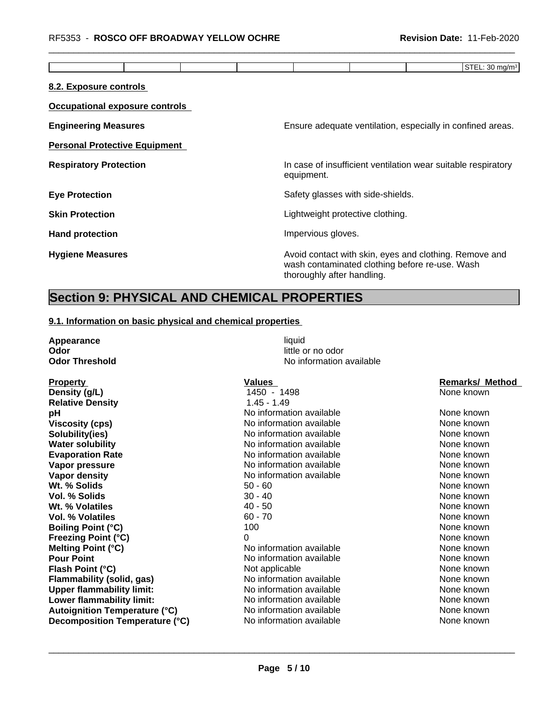|                                      | STEL: 30 mg/m <sup>3</sup>                                                                                                             |
|--------------------------------------|----------------------------------------------------------------------------------------------------------------------------------------|
| 8.2. Exposure controls               |                                                                                                                                        |
| Occupational exposure controls       |                                                                                                                                        |
| <b>Engineering Measures</b>          | Ensure adequate ventilation, especially in confined areas.                                                                             |
| <b>Personal Protective Equipment</b> |                                                                                                                                        |
| <b>Respiratory Protection</b>        | In case of insufficient ventilation wear suitable respiratory<br>equipment.                                                            |
| <b>Eye Protection</b>                | Safety glasses with side-shields.                                                                                                      |
| <b>Skin Protection</b>               | Lightweight protective clothing.                                                                                                       |
| <b>Hand protection</b>               | Impervious gloves.                                                                                                                     |
| <b>Hygiene Measures</b>              | Avoid contact with skin, eyes and clothing. Remove and<br>wash contaminated clothing before re-use. Wash<br>thoroughly after handling. |

# **Section 9: PHYSICAL AND CHEMICAL PROPERTIES**

#### **9.1. Information on basic physical and chemical properties**

| Appearance                           | liquid                   |                 |
|--------------------------------------|--------------------------|-----------------|
| Odor                                 | little or no odor        |                 |
| <b>Odor Threshold</b>                | No information available |                 |
| <b>Property</b>                      | Values                   | Remarks/ Method |
| Density (g/L)                        | 1450 - 1498              | None known      |
| <b>Relative Density</b>              | $1.45 - 1.49$            |                 |
| рH                                   | No information available | None known      |
| <b>Viscosity (cps)</b>               | No information available | None known      |
| Solubility(ies)                      | No information available | None known      |
| <b>Water solubility</b>              | No information available | None known      |
| <b>Evaporation Rate</b>              | No information available | None known      |
| Vapor pressure                       | No information available | None known      |
| Vapor density                        | No information available | None known      |
| Wt. % Solids                         | $50 - 60$                | None known      |
| Vol. % Solids                        | $30 - 40$                | None known      |
| Wt. % Volatiles                      | $40 - 50$                | None known      |
| <b>Vol. % Volatiles</b>              | $60 - 70$                | None known      |
| <b>Boiling Point (°C)</b>            | 100                      | None known      |
| <b>Freezing Point (°C)</b>           | 0                        | None known      |
| <b>Melting Point (°C)</b>            | No information available | None known      |
| <b>Pour Point</b>                    | No information available | None known      |
| Flash Point (°C)                     | Not applicable           | None known      |
| <b>Flammability (solid, gas)</b>     | No information available | None known      |
| <b>Upper flammability limit:</b>     | No information available | None known      |
| Lower flammability limit:            | No information available | None known      |
| <b>Autoignition Temperature (°C)</b> | No information available | None known      |
| Decomposition Temperature (°C)       | No information available | None known      |
|                                      |                          |                 |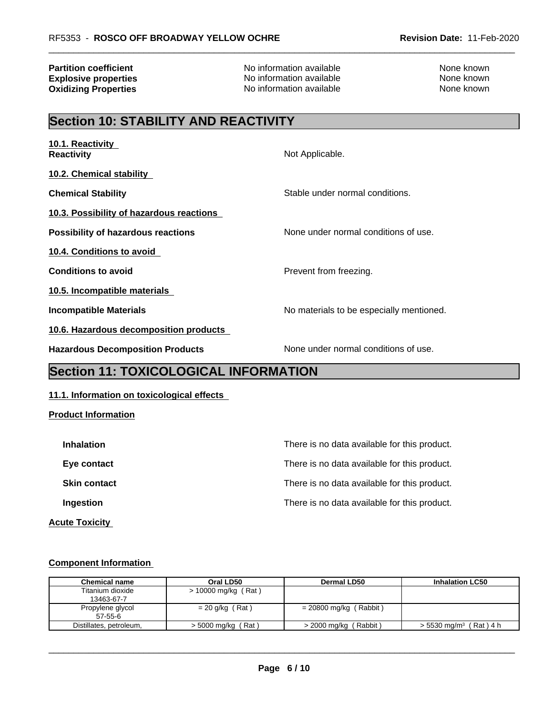**Oxidizing Properties** 

**Partition coefficient**<br> **Explosive properties**<br>
No information available None Known<br>
None known<br>
No information available **Explosive properties**<br> **Oxidizing Properties**<br>
No information available<br>
None known<br>
None known

# **Section 10: STABILITY AND REACTIVITY**

| 10.1. Reactivity<br><b>Reactivity</b>     | Not Applicable.                          |
|-------------------------------------------|------------------------------------------|
| 10.2. Chemical stability                  |                                          |
| <b>Chemical Stability</b>                 | Stable under normal conditions.          |
| 10.3. Possibility of hazardous reactions  |                                          |
| <b>Possibility of hazardous reactions</b> | None under normal conditions of use.     |
| 10.4. Conditions to avoid                 |                                          |
| <b>Conditions to avoid</b>                | Prevent from freezing.                   |
| 10.5. Incompatible materials              |                                          |
| Incompatible Materials                    | No materials to be especially mentioned. |
| 10.6. Hazardous decomposition products    |                                          |
| <b>Hazardous Decomposition Products</b>   | None under normal conditions of use.     |

# **Section 11: TOXICOLOGICAL INFORMATION**

#### **11.1. Information on toxicological effects**

**Product Information**

| <b>Inhalation</b>     | There is no data available for this product. |
|-----------------------|----------------------------------------------|
| Eye contact           | There is no data available for this product. |
| <b>Skin contact</b>   | There is no data available for this product. |
| Ingestion             | There is no data available for this product. |
| <b>Acute Toxicity</b> |                                              |

#### **Component Information**

| <b>Chemical name</b>    | Oral LD50             | Dermal LD50                  | <b>Inhalation LC50</b>            |
|-------------------------|-----------------------|------------------------------|-----------------------------------|
| Titanium dioxide        | $> 10000$ mg/kg (Rat) |                              |                                   |
| 13463-67-7              |                       |                              |                                   |
| Propylene glycol        | $= 20$ g/kg (Rat)     | $= 20800$ mg/kg (Rabbit)     |                                   |
| $57 - 55 - 6$           |                       |                              |                                   |
| Distillates, petroleum, | $>$ 5000 mg/kg (Rat)  | (Rabbit)<br>$> 2000$ mg/kg ( | $> 5530 \text{ mg/m}^3$ (Rat) 4 h |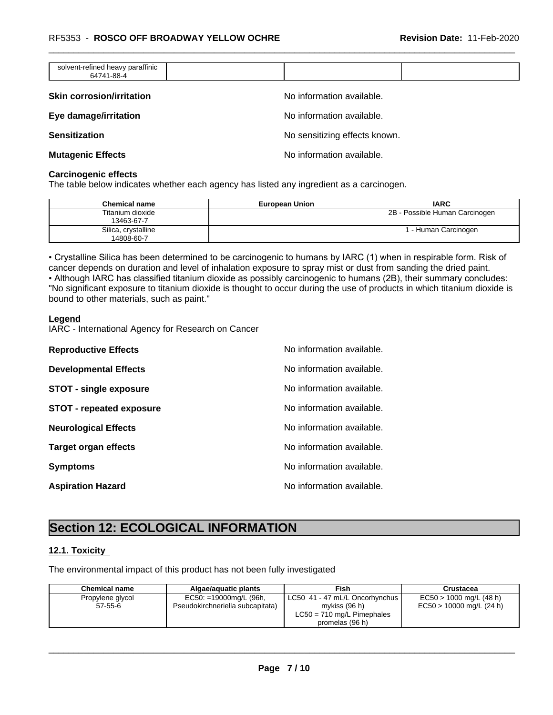| solvent-refined heavy paraffinic<br>64741-88-4 |                               |  |
|------------------------------------------------|-------------------------------|--|
| <b>Skin corrosion/irritation</b>               | No information available.     |  |
| Eye damage/irritation                          | No information available.     |  |
| <b>Sensitization</b>                           | No sensitizing effects known. |  |
| <b>Mutagenic Effects</b>                       | No information available.     |  |

#### **Carcinogenic effects**

The table below indicates whether each agency has listed any ingredient as a carcinogen.

| <b>Chemical name</b>              | <b>European Union</b> | <b>IARC</b>                    |
|-----------------------------------|-----------------------|--------------------------------|
| Titanium dioxide<br>13463-67-7    |                       | 2B - Possible Human Carcinogen |
| Silica, crystalline<br>14808-60-7 |                       | - Human Carcinogen             |

• Crystalline Silica has been determined to be carcinogenic to humans by IARC (1) when in respirable form. Risk of cancer depends on duration and level of inhalation exposure to spray mist or dust from sanding the dried paint.• Although IARC has classified titanium dioxide as possibly carcinogenic to humans (2B), their summary concludes: "No significant exposure to titanium dioxide is thought to occur during the use of products in which titanium dioxide is bound to other materials, such as paint."

#### **Legend**

IARC - International Agency for Research on Cancer

| <b>Reproductive Effects</b>     | No information available. |
|---------------------------------|---------------------------|
| <b>Developmental Effects</b>    | No information available. |
| <b>STOT - single exposure</b>   | No information available. |
| <b>STOT - repeated exposure</b> | No information available. |
| <b>Neurological Effects</b>     | No information available. |
| <b>Target organ effects</b>     | No information available. |
| <b>Symptoms</b>                 | No information available. |
| <b>Aspiration Hazard</b>        | No information available. |

# **Section 12: ECOLOGICAL INFORMATION**

#### **12.1. Toxicity**

The environmental impact of this product has not been fully investigated

| <b>Chemical name</b> | Algae/aguatic plants             | Fish                           | Crustacea                  |
|----------------------|----------------------------------|--------------------------------|----------------------------|
| Propylene glycol     | EC50: =19000mg/L (96h,           | LC50 41 - 47 mL/L Oncorhynchus | $EC50 > 1000$ mg/L (48 h)  |
| $57 - 55 - 6$        | Pseudokirchneriella subcapitata) | mvkiss (96 h)                  | $EC50 > 10000$ mg/L (24 h) |
|                      |                                  | $LC50 = 710$ mg/L Pimephales   |                            |
|                      |                                  | promelas (96 h)                |                            |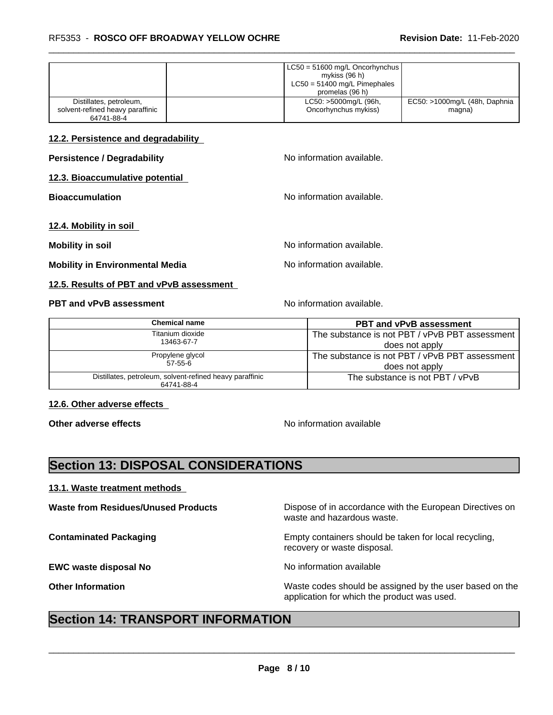|                                                | $\vert$ LC50 = 51600 mg/L Oncorhynchus $\vert$<br>mykiss (96 h)<br>$LC50 = 51400$ mg/L Pimephales |                               |  |
|------------------------------------------------|---------------------------------------------------------------------------------------------------|-------------------------------|--|
|                                                | promelas (96 h)                                                                                   |                               |  |
| Distillates, petroleum,                        | LC50: >5000mg/L (96h,                                                                             | EC50: >1000mg/L (48h, Daphnia |  |
| solvent-refined heavy paraffinic<br>64741-88-4 | Oncorhynchus mykiss)                                                                              | magna)                        |  |

#### **12.2. Persistence and degradability**

**12.3. Bioaccumulative potential**

**Bioaccumulation Bioaccumulation No information available.** 

**12.4. Mobility in soil**

**Mobility in soil in intervalle intervalle No information available.** 

**Mobility in Environmental Media** Noinformation available.

#### **12.5. Results of PBT and vPvB assessment**

#### **PBT and vPvB assessment** Noinformation available.

**No information available.** 

| Chemical name                                                          | <b>PBT and vPvB assessment</b>                 |
|------------------------------------------------------------------------|------------------------------------------------|
| Titanium dioxide                                                       | The substance is not PBT / vPvB PBT assessment |
| 13463-67-7                                                             | does not apply                                 |
| Propylene glycol                                                       | The substance is not PBT / vPvB PBT assessment |
| $57-55-6$                                                              | does not apply                                 |
| Distillates, petroleum, solvent-refined heavy paraffinic<br>64741-88-4 | The substance is not PBT / vPvB                |

#### **12.6. Other adverse effects**

**Other adverse effects** No information available

## **Section 13: DISPOSAL CONSIDERATIONS**

#### **13.1. Waste treatment methods**

**EWC waste disposal No** Noinformation available

**Waste from Residues/Unused Products** Dispose of in accordance with the European Directives on waste and hazardous waste.

**Contaminated Packaging <b>Empty Containers** should be taken for local recycling, recovery or waste disposal.

 $\overline{\phantom{a}}$  ,  $\overline{\phantom{a}}$  ,  $\overline{\phantom{a}}$  ,  $\overline{\phantom{a}}$  ,  $\overline{\phantom{a}}$  ,  $\overline{\phantom{a}}$  ,  $\overline{\phantom{a}}$  ,  $\overline{\phantom{a}}$  ,  $\overline{\phantom{a}}$  ,  $\overline{\phantom{a}}$  ,  $\overline{\phantom{a}}$  ,  $\overline{\phantom{a}}$  ,  $\overline{\phantom{a}}$  ,  $\overline{\phantom{a}}$  ,  $\overline{\phantom{a}}$  ,  $\overline{\phantom{a}}$ 

**Other Information** Waste codes should be assigned by the user based on the application for which the product was used.

### **Section 14: TRANSPORT INFORMATION**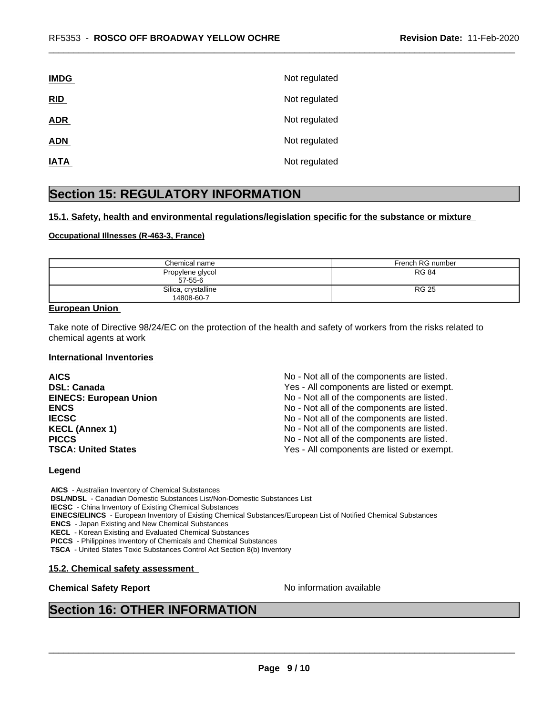| <b>IMDG</b> | Not regulated |
|-------------|---------------|
| RID         | Not regulated |
| <b>ADR</b>  | Not regulated |
| <b>ADN</b>  | Not regulated |
| <b>IATA</b> | Not regulated |
|             |               |

### **Section 15: REGULATORY INFORMATION**

#### **15.1. Safety, health and environmental regulations/legislation specific for the substance or mixture**

#### **Occupational Illnesses (R-463-3, France)**

| Chemical name                     | French RG number |
|-----------------------------------|------------------|
| Propylene glycol<br>$57 - 55 - 6$ | <b>RG 84</b>     |
| Silica, crystalline<br>14808-60-7 | <b>RG 25</b>     |

#### **European Union**

Take note of Directive 98/24/EC on the protection of the health and safety of workers from the risks related to chemical agents at work

#### **International Inventories**

| <b>AICS</b>                   | No - Not all of the components are listed. |
|-------------------------------|--------------------------------------------|
| <b>DSL: Canada</b>            | Yes - All components are listed or exempt. |
| <b>EINECS: European Union</b> | No - Not all of the components are listed. |
| <b>ENCS</b>                   | No - Not all of the components are listed. |
| <b>IECSC</b>                  | No - Not all of the components are listed. |
| <b>KECL (Annex 1)</b>         | No - Not all of the components are listed. |
| <b>PICCS</b>                  | No - Not all of the components are listed. |
| <b>TSCA: United States</b>    | Yes - All components are listed or exempt. |

#### **Legend**

 **AICS** - Australian Inventory of Chemical Substances  **DSL/NDSL** - Canadian Domestic Substances List/Non-Domestic Substances List  **IECSC** - China Inventory of Existing Chemical Substances  **EINECS/ELINCS** - European Inventory of Existing Chemical Substances/European List of Notified Chemical Substances  **ENCS** - Japan Existing and New Chemical Substances  **KECL** - Korean Existing and Evaluated Chemical Substances  **PICCS** - Philippines Inventory of Chemicals and Chemical Substances

 **TSCA** - United States Toxic Substances Control Act Section 8(b) Inventory

#### **15.2. Chemical safety assessment**

#### **Chemical Safety Report** Noinformation available

 $\overline{\phantom{a}}$  ,  $\overline{\phantom{a}}$  ,  $\overline{\phantom{a}}$  ,  $\overline{\phantom{a}}$  ,  $\overline{\phantom{a}}$  ,  $\overline{\phantom{a}}$  ,  $\overline{\phantom{a}}$  ,  $\overline{\phantom{a}}$  ,  $\overline{\phantom{a}}$  ,  $\overline{\phantom{a}}$  ,  $\overline{\phantom{a}}$  ,  $\overline{\phantom{a}}$  ,  $\overline{\phantom{a}}$  ,  $\overline{\phantom{a}}$  ,  $\overline{\phantom{a}}$  ,  $\overline{\phantom{a}}$ 

### **Section 16: OTHER INFORMATION**